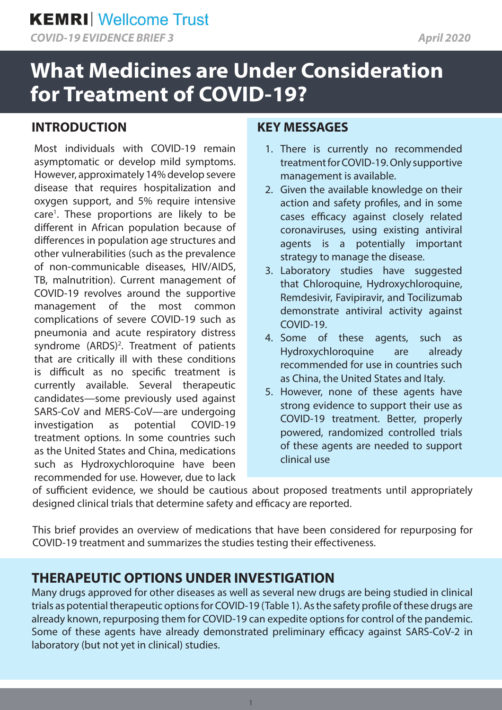*COVID-19 EVIDENCE BRIEF 3 April 2020*

# **What Medicines are Under Consideration for Treatment of COVID-19?**

## **INTRODUCTION**

Most individuals with COVID-19 remain asymptomatic or develop mild symptoms. However, approximately 14% develop severe disease that requires hospitalization and oxygen support, and 5% require intensive care<sup>1</sup>. These proportions are likely to be different in African population because of differences in population age structures and other vulnerabilities (such as the prevalence of non-communicable diseases, HIV/AIDS, TB, malnutrition). Current management of COVID-19 revolves around the supportive management of the most common complications of severe COVID-19 such as pneumonia and acute respiratory distress syndrome  $(ARDS)^2$ . Treatment of patients that are critically ill with these conditions is difficult as no specific treatment is currently available. Several therapeutic candidates—some previously used against SARS-CoV and MERS-CoV—are undergoing investigation as potential COVID-19 treatment options. In some countries such as the United States and China, medications such as Hydroxychloroquine have been recommended for use. However, due to lack

### **KEY MESSAGES**

- 1. There is currently no recommended treatment for COVID-19. Only supportive management is available.
- 2. Given the available knowledge on their action and safety profiles, and in some cases efficacy against closely related coronaviruses, using existing antiviral agents is a potentially important strategy to manage the disease.
- 3. Laboratory studies have suggested that Chloroquine, Hydroxychloroquine, Remdesivir, Favipiravir, and Tocilizumab demonstrate antiviral activity against COVID-19.
- 4. Some of these agents, such as Hydroxychloroquine are already recommended for use in countries such as China, the United States and Italy.
- 5. However, none of these agents have strong evidence to support their use as COVID-19 treatment. Better, properly powered, randomized controlled trials of these agents are needed to support clinical use

of sufficient evidence, we should be cautious about proposed treatments until appropriately designed clinical trials that determine safety and efficacy are reported.

This brief provides an overview of medications that have been considered for repurposing for COVID-19 treatment and summarizes the studies testing their effectiveness.

# **THERAPEUTIC OPTIONS UNDER INVESTIGATION**

Many drugs approved for other diseases as well as several new drugs are being studied in clinical trials as potential therapeutic options for COVID-19 (Table 1). As the safety profile of these drugs are already known, repurposing them for COVID-19 can expedite options for control of the pandemic. Some of these agents have already demonstrated preliminary efficacy against SARS-CoV-2 in laboratory (but not yet in clinical) studies.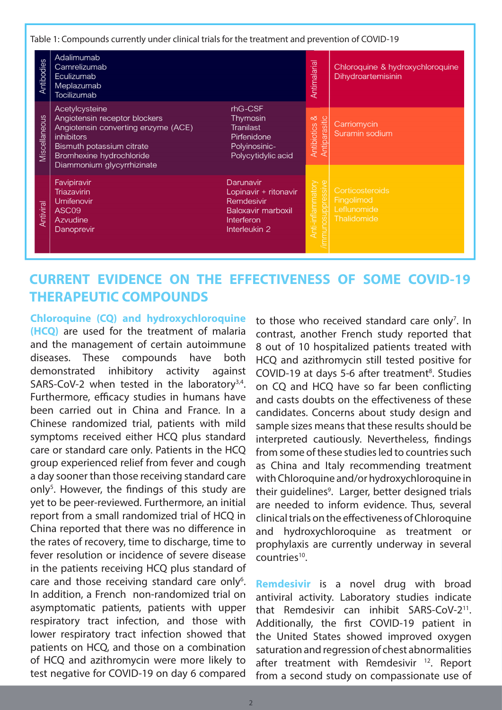#### Table 1: Compounds currently under clinical trials for the treatment and prevention of COVID-19

| Antibodies    | Adalimumab<br>Camrelizumab<br>Eculizumab<br>Meplazumab<br><b>Tocilizumab</b>                                                                                                                       |                                                                                                              | Antimalarial                                   | Chloroquine & hydroxychloroquine<br>Dihydroartemisinin      |
|---------------|----------------------------------------------------------------------------------------------------------------------------------------------------------------------------------------------------|--------------------------------------------------------------------------------------------------------------|------------------------------------------------|-------------------------------------------------------------|
| Miscellaneous | Acetylcysteine<br>Angiotensin receptor blockers<br>Angiotensin converting enzyme (ACE)<br><i>inhibitors</i><br>Bismuth potassium citrate<br>Bromhexine hydrochloride<br>Diammonium glycyrrhizinate | rhG-CSF<br>Thymosin<br><b>Tranilast</b><br>Pirfenidone<br>Polyinosinic-<br>Polycytidylic acid                | ∞<br>Antiparasitic<br>Antibiotics              | Carriomycin<br>Suramin sodium                               |
| Antiviral     | Favipiravir<br><b>Triazavirin</b><br>Umifenovir<br>ASC <sub>09</sub><br>Azvudine<br>Danoprevir                                                                                                     | Darunavir<br>Lopinavir + ritonavir<br>Remdesivir<br><b>Baloxavir marboxil</b><br>Interferon<br>Interleukin 2 | ssive<br><b>Anti-inflammatory</b><br>iosuppres | Corticosteroids<br>Fingolimod<br>Leflunomide<br>Thalidomide |

### **CURRENT EVIDENCE ON THE EFFECTIVENESS OF SOME COVID-19 THERAPEUTIC COMPOUNDS**

**Chloroquine (CQ) and hydroxychloroquine (HCQ)** are used for the treatment of malaria and the management of certain autoimmune diseases. These compounds have both demonstrated inhibitory activity against SARS-CoV-2 when tested in the laboratory<sup>3,4</sup>. Furthermore, efficacy studies in humans have been carried out in China and France. In a Chinese randomized trial, patients with mild symptoms received either HCQ plus standard care or standard care only. Patients in the HCQ group experienced relief from fever and cough a day sooner than those receiving standard care only<sup>5</sup>. However, the findings of this study are yet to be peer-reviewed. Furthermore, an initial report from a small randomized trial of HCQ in China reported that there was no difference in the rates of recovery, time to discharge, time to fever resolution or incidence of severe disease in the patients receiving HCQ plus standard of care and those receiving standard care only<sup>6</sup>. In addition, a French non-randomized trial on asymptomatic patients, patients with upper respiratory tract infection, and those with lower respiratory tract infection showed that patients on HCQ, and those on a combination of HCQ and azithromycin were more likely to test negative for COVID-19 on day 6 compared

to those who received standard care only<sup>7</sup>. In contrast, another French study reported that 8 out of 10 hospitalized patients treated with HCQ and azithromycin still tested positive for COVID-19 at days 5-6 after treatment<sup>8</sup>. Studies on CQ and HCQ have so far been conflicting and casts doubts on the effectiveness of these candidates. Concerns about study design and sample sizes means that these results should be interpreted cautiously. Nevertheless, findings from some of these studies led to countries such as China and Italy recommending treatment with Chloroquine and/or hydroxychloroquine in their guidelines<sup>9</sup>. Larger, better designed trials are needed to inform evidence. Thus, several clinical trials on the effectiveness of Chloroquine and hydroxychloroquine as treatment or prophylaxis are currently underway in several countries<sup>10</sup>.

**Remdesivir** is a novel drug with broad antiviral activity. Laboratory studies indicate that Remdesivir can inhibit SARS-CoV-211. Additionally, the first COVID-19 patient in the United States showed improved oxygen saturation and regression of chest abnormalities after treatment with Remdesivir<sup>12</sup>. Report from a second study on compassionate use of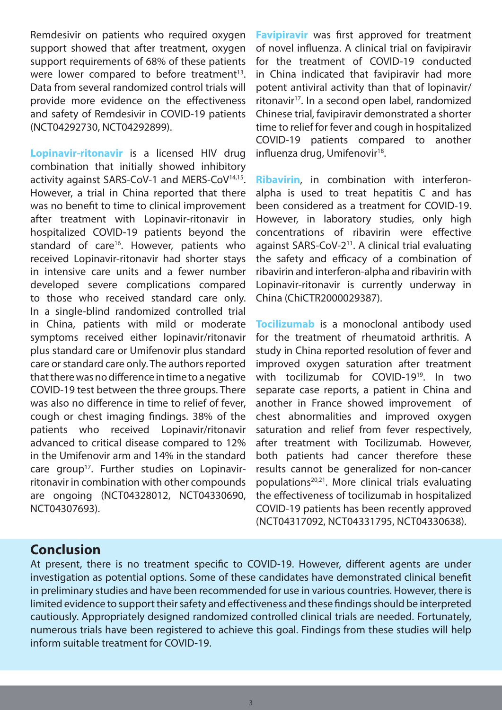Remdesivir on patients who required oxygen support showed that after treatment, oxygen support requirements of 68% of these patients were lower compared to before treatment<sup>13</sup>. Data from several randomized control trials will provide more evidence on the effectiveness and safety of Remdesivir in COVID-19 patients (NCT04292730, NCT04292899).

**Lopinavir-ritonavir** is a licensed HIV drug combination that initially showed inhibitory activity against SARS-CoV-1 and MERS-CoV<sup>14,15</sup>. However, a trial in China reported that there was no benefit to time to clinical improvement after treatment with Lopinavir-ritonavir in hospitalized COVID-19 patients beyond the standard of care<sup>16</sup>. However, patients who received Lopinavir-ritonavir had shorter stays in intensive care units and a fewer number developed severe complications compared to those who received standard care only. In a single-blind randomized controlled trial in China, patients with mild or moderate symptoms received either lopinavir/ritonavir plus standard care or Umifenovir plus standard care or standard care only. The authors reported that there was no difference in time to a negative COVID-19 test between the three groups. There was also no difference in time to relief of fever, cough or chest imaging findings. 38% of the patients who received Lopinavir/ritonavir advanced to critical disease compared to 12% in the Umifenovir arm and 14% in the standard care group<sup>17</sup>. Further studies on Lopinavirritonavir in combination with other compounds are ongoing (NCT04328012, NCT04330690, NCT04307693).

**Favipiravir** was first approved for treatment of novel influenza. A clinical trial on favipiravir for the treatment of COVID-19 conducted in China indicated that favipiravir had more potent antiviral activity than that of lopinavir/ ritonavir<sup>17</sup>. In a second open label, randomized Chinese trial, favipiravir demonstrated a shorter time to relief for fever and cough in hospitalized COVID-19 patients compared to another influenza drug, Umifenovir<sup>18</sup>.

**Ribavirin**, in combination with interferonalpha is used to treat hepatitis C and has been considered as a treatment for COVID-19. However, in laboratory studies, only high concentrations of ribavirin were effective against SARS-CoV-2<sup>11</sup>. A clinical trial evaluating the safety and efficacy of a combination of ribavirin and interferon-alpha and ribavirin with Lopinavir-ritonavir is currently underway in China (ChiCTR2000029387).

**Tocilizumab** is a monoclonal antibody used for the treatment of rheumatoid arthritis. A study in China reported resolution of fever and improved oxygen saturation after treatment with tocilizumab for COVID-19<sup>19</sup>. In two separate case reports, a patient in China and another in France showed improvement of chest abnormalities and improved oxygen saturation and relief from fever respectively, after treatment with Tocilizumab. However, both patients had cancer therefore these results cannot be generalized for non-cancer populations20,21. More clinical trials evaluating the effectiveness of tocilizumab in hospitalized COVID-19 patients has been recently approved (NCT04317092, NCT04331795, NCT04330638).

### **Conclusion**

At present, there is no treatment specific to COVID-19. However, different agents are under investigation as potential options. Some of these candidates have demonstrated clinical benefit in preliminary studies and have been recommended for use in various countries. However, there is limited evidence to support their safety and effectiveness and these findings should be interpreted cautiously. Appropriately designed randomized controlled clinical trials are needed. Fortunately, numerous trials have been registered to achieve this goal. Findings from these studies will help inform suitable treatment for COVID-19.